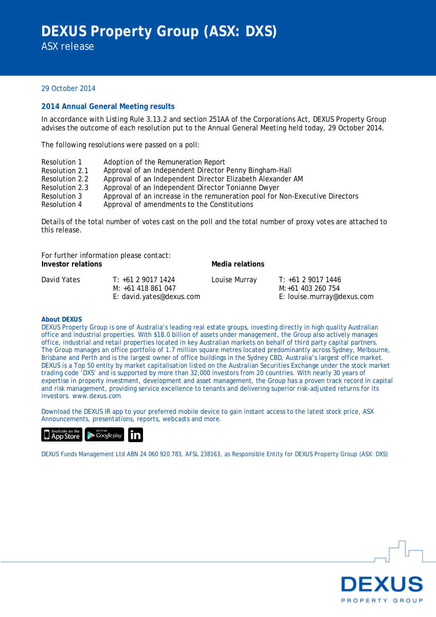## 29 October 2014

## **2014 Annual General Meeting results**

In accordance with Listing Rule 3.13.2 and section 251AA of the Corporations Act, DEXUS Property Group advises the outcome of each resolution put to the Annual General Meeting held today, 29 October 2014.

The following resolutions were passed on a poll:

Resolution 1 Resolution 2.1 Resolution 2.2 Resolution 2.3 Resolution 3 Resolution 4 Adoption of the Remuneration Report Approval of an Independent Director Penny Bingham-Hall Approval of an Independent Director Elizabeth Alexander AM Approval of an Independent Director Tonianne Dwyer Approval of an increase in the remuneration pool for Non-Executive Directors Approval of amendments to the Constitutions

Details of the total number of votes cast on the poll and the total number of proxy votes are attached to this release.

For further information please contact: **Investor relations Media relations** 

| David Yates | T: +61 2 9017 1424       | Louise Murray | T: +61 2 9017 1446         |  |  |  |
|-------------|--------------------------|---------------|----------------------------|--|--|--|
|             | M: +61 418 861 047       |               | M:+61 403 260 754          |  |  |  |
|             | E: david.yates@dexus.com |               | E: louise.murray@dexus.com |  |  |  |

## **About DEXUS**

DEXUS Property Group is one of Australia's leading real estate groups, investing directly in high quality Australian office and industrial properties. With \$18.0 billion of assets under management, the Group also actively manages office, industrial and retail properties located in key Australian markets on behalf of third party capital partners. The Group manages an office portfolio of 1.7 million square metres located predominantly across Sydney, Melbourne, Brisbane and Perth and is the largest owner of office buildings in the Sydney CBD, Australia's largest office market. DEXUS is a Top 50 entity by market capitalisation listed on the Australian Securities Exchange under the stock market trading code 'DXS' and is supported by more than 32,000 investors from 20 countries. With nearly 30 years of expertise in property investment, development and asset management, the Group has a proven track record in capital and risk management, providing service excellence to tenants and delivering superior risk-adjusted returns for its investors. www.dexus.com

Download the DEXUS IR app to your preferred mobile device to gain instant access to the latest stock price, ASX Announcements, presentations, reports, webcasts and more.



DEXUS Funds Management Ltd ABN 24 060 920 783, AFSL 238163, as Responsible Entity for DEXUS Property Group (ASX: DXS)